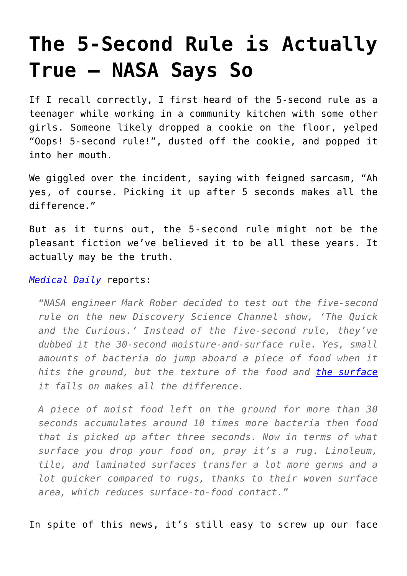## **[The 5-Second Rule is Actually](https://intellectualtakeout.org/2016/02/the-5-second-rule-is-actually-true-nasa-says-so/) [True – NASA Says So](https://intellectualtakeout.org/2016/02/the-5-second-rule-is-actually-true-nasa-says-so/)**

If I recall correctly, I first heard of the 5-second rule as a teenager while working in a community kitchen with some other girls. Someone likely dropped a cookie on the floor, yelped "Oops! 5-second rule!", dusted off the cookie, and popped it into her mouth.

We giggled over the incident, saying with feigned sarcasm, "Ah yes, of course. Picking it up after 5 seconds makes all the difference."

But as it turns out, the 5-second rule might not be the pleasant fiction we've believed it to be all these years. It actually may be the truth.

## *[Medical Daily](http://www.medicaldaily.com/5-second-rule-real-nasa-engineer-proves-you-can-eat-cookie-after-it-falls-371896?rel=most_shared3)* reports:

*"NASA engineer Mark Rober decided to test out the five-second rule on the new Discovery Science Channel show, 'The Quick and the Curious.' Instead of the five-second rule, they've dubbed it the 30-second moisture-and-surface rule. Yes, small amounts of bacteria do jump aboard a piece of food when it hits the ground, but the texture of the food and [the surface](http://www.medicaldaily.com/wash-your-hands-7-household-items-hold-more-germs-toilet-seat-295346) it falls on makes all the difference.*

*A piece of moist food left on the ground for more than 30 seconds accumulates around 10 times more bacteria then food that is picked up after three seconds. Now in terms of what surface you drop your food on, pray it's a rug. Linoleum, tile, and laminated surfaces transfer a lot more germs and a lot quicker compared to rugs, thanks to their woven surface area, which reduces surface-to-food contact."* 

In spite of this news, it's still easy to screw up our face